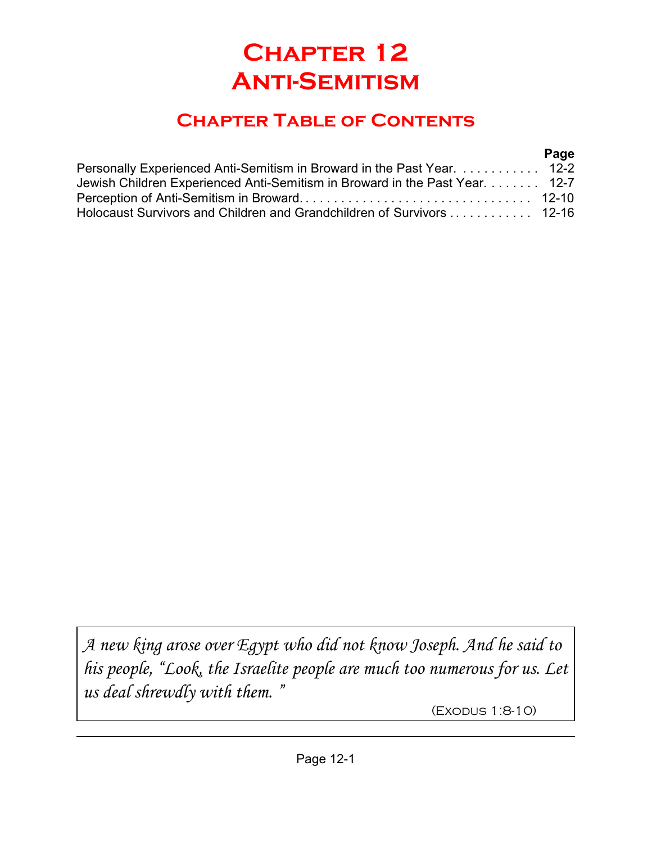# **Chapter 12 Anti-Semitism**

## **Chapter Table of Contents**

#### **Page**

| Personally Experienced Anti-Semitism in Broward in the Past Year.  12-2     |  |
|-----------------------------------------------------------------------------|--|
| Jewish Children Experienced Anti-Semitism in Broward in the Past Year. 12-7 |  |
|                                                                             |  |
| Holocaust Survivors and Children and Grandchildren of Survivors  12-16      |  |

*A new king arose over Egypt who did not know Joseph. And he said to his people, "Look, the Israelite people are much too numerous for us. Let us deal shrewdly with them. "*

(Exodus 1:8-10)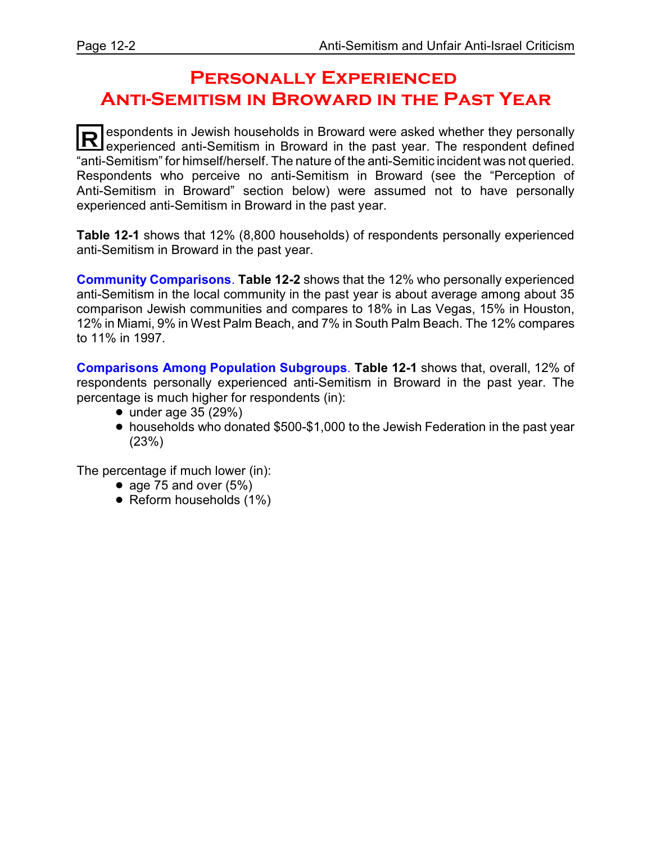### **Personally Experienced Anti-Semitism in Broward in the Past Year**

**R** espondents in Jewish households in Broward were asked whether they personally experienced anti-Semitism in Broward in the past year. The respondent defined "anti-Semitism" for himself/herself. The nature of the anti-Semitic incident was not queried. Respondents who perceive no anti-Semitism in Broward (see the "Perception of Anti-Semitism in Broward" section below) were assumed not to have personally experienced anti-Semitism in Broward in the past year.

**Table 12-1** shows that 12% (8,800 households) of respondents personally experienced anti-Semitism in Broward in the past year.

**Community Comparisons**. **Table 12-2** shows that the 12% who personally experienced anti-Semitism in the local community in the past year is about average among about 35 comparison Jewish communities and compares to 18% in Las Vegas, 15% in Houston, 12% in Miami, 9% in West Palm Beach, and 7% in South Palm Beach. The 12% compares to 11% in 1997.

**Comparisons Among Population Subgroups**. **Table 12-1** shows that, overall, 12% of respondents personally experienced anti-Semitism in Broward in the past year. The percentage is much higher for respondents (in):

- $\bullet$  under age 35 (29%)
- ! households who donated \$500-\$1,000 to the Jewish Federation in the past year (23%)

The percentage if much lower (in):

- age 75 and over  $(5%)$
- $\bullet$  Reform households (1%)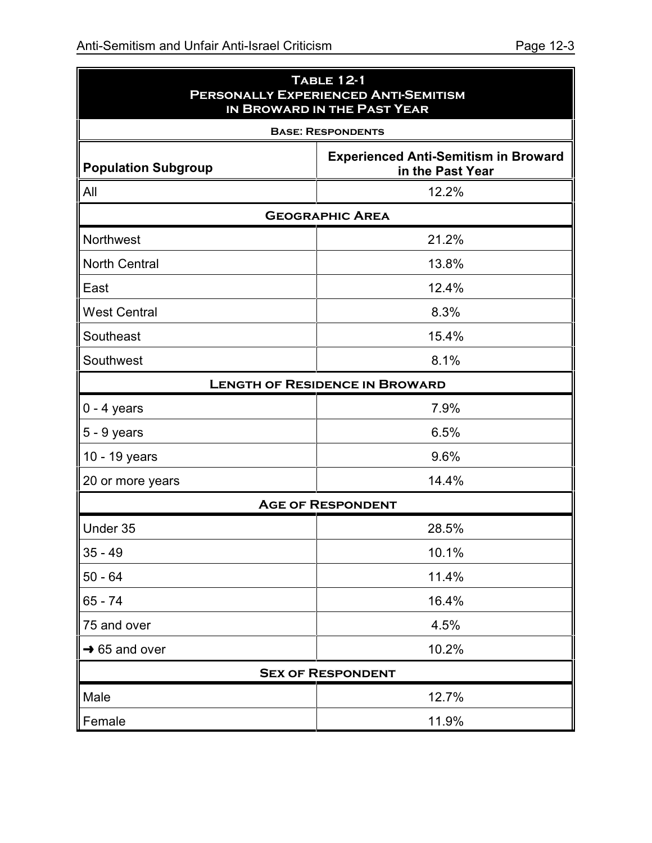| <b>TABLE 12-1</b><br>PERSONALLY EXPERIENCED ANTI-SEMITISM<br>IN BROWARD IN THE PAST YEAR |                                                                 |  |  |  |
|------------------------------------------------------------------------------------------|-----------------------------------------------------------------|--|--|--|
|                                                                                          | <b>BASE: RESPONDENTS</b>                                        |  |  |  |
| <b>Population Subgroup</b>                                                               | <b>Experienced Anti-Semitism in Broward</b><br>in the Past Year |  |  |  |
| 12.2%<br>All                                                                             |                                                                 |  |  |  |
|                                                                                          | <b>GEOGRAPHIC AREA</b>                                          |  |  |  |
| Northwest                                                                                | 21.2%                                                           |  |  |  |
| <b>North Central</b>                                                                     | 13.8%                                                           |  |  |  |
| East                                                                                     | 12.4%                                                           |  |  |  |
| <b>West Central</b>                                                                      | 8.3%                                                            |  |  |  |
| Southeast                                                                                | 15.4%                                                           |  |  |  |
| Southwest                                                                                | 8.1%                                                            |  |  |  |
|                                                                                          | <b>LENGTH OF RESIDENCE IN BROWARD</b>                           |  |  |  |
| $0 - 4$ years                                                                            | 7.9%                                                            |  |  |  |
| $5 - 9$ years                                                                            | 6.5%                                                            |  |  |  |
| 10 - 19 years                                                                            | 9.6%                                                            |  |  |  |
| 20 or more years                                                                         | 14.4%                                                           |  |  |  |
|                                                                                          | <b>AGE OF RESPONDENT</b>                                        |  |  |  |
| Under 35                                                                                 | 28.5%                                                           |  |  |  |
| $35 - 49$                                                                                | 10.1%                                                           |  |  |  |
| $50 - 64$                                                                                | 11.4%                                                           |  |  |  |
| 65 - 74                                                                                  | 16.4%                                                           |  |  |  |
| 75 and over                                                                              | 4.5%                                                            |  |  |  |
| $\rightarrow$ 65 and over                                                                | 10.2%                                                           |  |  |  |
|                                                                                          | <b>SEX OF RESPONDENT</b>                                        |  |  |  |
| Male                                                                                     | 12.7%                                                           |  |  |  |
| Female                                                                                   | 11.9%                                                           |  |  |  |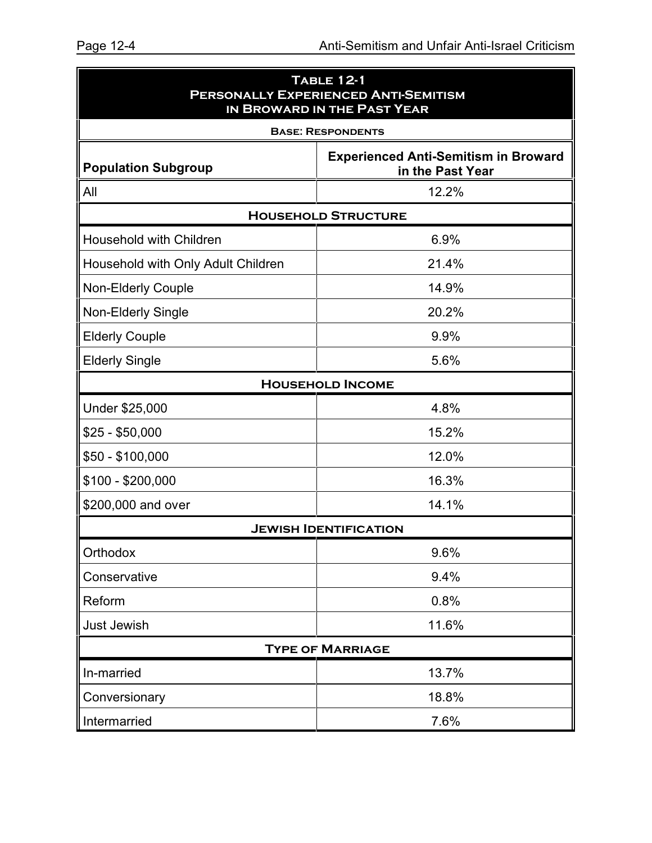| <b>TABLE 12-1</b><br>PERSONALLY EXPERIENCED ANTI-SEMITISM<br>IN BROWARD IN THE PAST YEAR |                                                                 |  |  |  |
|------------------------------------------------------------------------------------------|-----------------------------------------------------------------|--|--|--|
|                                                                                          | <b>BASE: RESPONDENTS</b>                                        |  |  |  |
| <b>Population Subgroup</b>                                                               | <b>Experienced Anti-Semitism in Broward</b><br>in the Past Year |  |  |  |
| All                                                                                      | 12.2%                                                           |  |  |  |
|                                                                                          | <b>HOUSEHOLD STRUCTURE</b>                                      |  |  |  |
| <b>Household with Children</b>                                                           | 6.9%                                                            |  |  |  |
| Household with Only Adult Children                                                       | 21.4%                                                           |  |  |  |
| <b>Non-Elderly Couple</b>                                                                | 14.9%                                                           |  |  |  |
| <b>Non-Elderly Single</b>                                                                | 20.2%                                                           |  |  |  |
| <b>Elderly Couple</b>                                                                    | 9.9%                                                            |  |  |  |
| <b>Elderly Single</b>                                                                    | 5.6%                                                            |  |  |  |
|                                                                                          | <b>HOUSEHOLD INCOME</b>                                         |  |  |  |
| Under \$25,000                                                                           | 4.8%                                                            |  |  |  |
| $$25 - $50,000$                                                                          | 15.2%                                                           |  |  |  |
| $$50 - $100,000$                                                                         | 12.0%                                                           |  |  |  |
| \$100 - \$200,000                                                                        | 16.3%                                                           |  |  |  |
| \$200,000 and over                                                                       | 14.1%                                                           |  |  |  |
|                                                                                          | <b>JEWISH IDENTIFICATION</b>                                    |  |  |  |
| Orthodox                                                                                 | 9.6%                                                            |  |  |  |
| Conservative                                                                             | 9.4%                                                            |  |  |  |
| Reform                                                                                   | 0.8%                                                            |  |  |  |
| Just Jewish                                                                              | 11.6%                                                           |  |  |  |
|                                                                                          | <b>TYPE OF MARRIAGE</b>                                         |  |  |  |
| In-married                                                                               | 13.7%                                                           |  |  |  |
| Conversionary                                                                            | 18.8%                                                           |  |  |  |
| Intermarried                                                                             | 7.6%                                                            |  |  |  |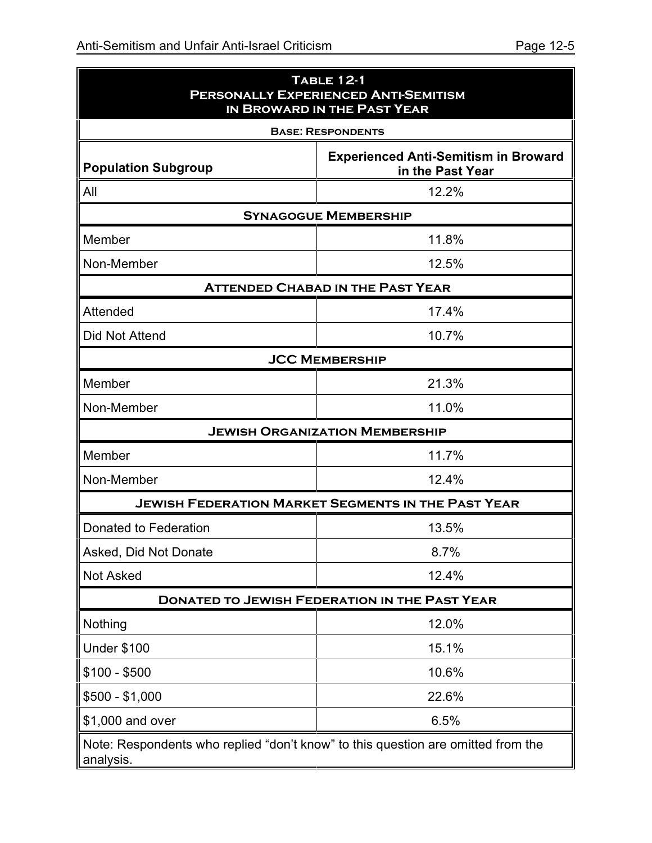| <b>TABLE 12-1</b><br>PERSONALLY EXPERIENCED ANTI-SEMITISM<br>IN BROWARD IN THE PAST YEAR      |                                                           |  |  |  |  |  |
|-----------------------------------------------------------------------------------------------|-----------------------------------------------------------|--|--|--|--|--|
|                                                                                               | <b>BASE: RESPONDENTS</b>                                  |  |  |  |  |  |
| <b>Experienced Anti-Semitism in Broward</b><br><b>Population Subgroup</b><br>in the Past Year |                                                           |  |  |  |  |  |
| All<br>12.2%                                                                                  |                                                           |  |  |  |  |  |
|                                                                                               | <b>SYNAGOGUE MEMBERSHIP</b>                               |  |  |  |  |  |
| Member                                                                                        | 11.8%                                                     |  |  |  |  |  |
| Non-Member                                                                                    | 12.5%                                                     |  |  |  |  |  |
|                                                                                               | <b>ATTENDED CHABAD IN THE PAST YEAR</b>                   |  |  |  |  |  |
| Attended                                                                                      | 17.4%                                                     |  |  |  |  |  |
| Did Not Attend                                                                                | 10.7%                                                     |  |  |  |  |  |
|                                                                                               | <b>JCC MEMBERSHIP</b>                                     |  |  |  |  |  |
| Member                                                                                        | 21.3%                                                     |  |  |  |  |  |
| Non-Member                                                                                    | 11.0%                                                     |  |  |  |  |  |
|                                                                                               | <b>JEWISH ORGANIZATION MEMBERSHIP</b>                     |  |  |  |  |  |
| Member                                                                                        | 11.7%                                                     |  |  |  |  |  |
| Non-Member                                                                                    | 12.4%                                                     |  |  |  |  |  |
|                                                                                               | <b>JEWISH FEDERATION MARKET SEGMENTS IN THE PAST YEAR</b> |  |  |  |  |  |
| Donated to Federation                                                                         | 13.5%                                                     |  |  |  |  |  |
| Asked, Did Not Donate                                                                         | 8.7%                                                      |  |  |  |  |  |
| <b>Not Asked</b>                                                                              | 12.4%                                                     |  |  |  |  |  |
|                                                                                               | <b>DONATED TO JEWISH FEDERATION IN THE PAST YEAR</b>      |  |  |  |  |  |
| Nothing                                                                                       | 12.0%                                                     |  |  |  |  |  |
| <b>Under \$100</b>                                                                            | 15.1%                                                     |  |  |  |  |  |
| $$100 - $500$                                                                                 | 10.6%                                                     |  |  |  |  |  |
| $$500 - $1,000$                                                                               | 22.6%                                                     |  |  |  |  |  |
| \$1,000 and over                                                                              | 6.5%                                                      |  |  |  |  |  |
| Note: Respondents who replied "don't know" to this question are omitted from the<br>analysis. |                                                           |  |  |  |  |  |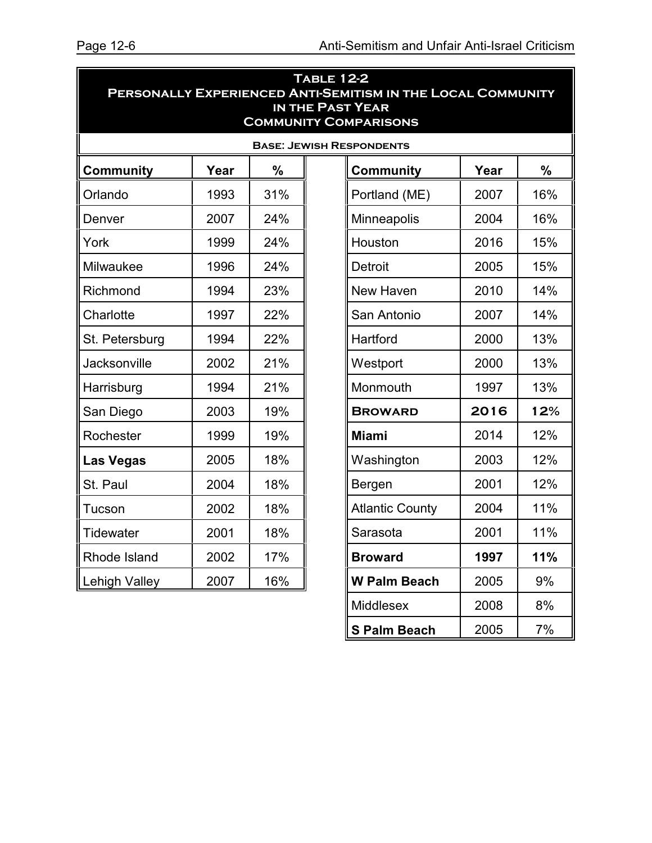**S Palm Beach 2005 7%** 

| <b>TABLE 12-2</b><br>PERSONALLY EXPERIENCED ANTI-SEMITISM IN THE LOCAL COMMUNITY<br><b>IN THE PAST YEAR</b><br><b>COMMUNITY COMPARISONS</b> |      |               |  |                                 |      |               |  |
|---------------------------------------------------------------------------------------------------------------------------------------------|------|---------------|--|---------------------------------|------|---------------|--|
|                                                                                                                                             |      |               |  | <b>BASE: JEWISH RESPONDENTS</b> |      |               |  |
| <b>Community</b>                                                                                                                            | Year | $\frac{0}{0}$ |  | <b>Community</b>                | Year | $\frac{0}{0}$ |  |
| Orlando                                                                                                                                     | 1993 | 31%           |  | Portland (ME)                   | 2007 | 16%           |  |
| Denver                                                                                                                                      | 2007 | 24%           |  | Minneapolis                     | 2004 | 16%           |  |
| York                                                                                                                                        | 1999 | 24%           |  | Houston                         | 2016 | 15%           |  |
| Milwaukee                                                                                                                                   | 1996 | 24%           |  | Detroit                         | 2005 | 15%           |  |
| Richmond                                                                                                                                    | 1994 | 23%           |  | 2010<br>14%<br>New Haven        |      |               |  |
| Charlotte                                                                                                                                   | 1997 | 22%           |  | 14%<br>2007<br>San Antonio      |      |               |  |
| St. Petersburg                                                                                                                              | 1994 | 22%           |  | Hartford<br>2000                |      | 13%           |  |
| Jacksonville                                                                                                                                | 2002 | 21%           |  | 2000<br>Westport                |      | 13%           |  |
| Harrisburg                                                                                                                                  | 1994 | 21%           |  | Monmouth<br>1997                |      | 13%           |  |
| San Diego                                                                                                                                   | 2003 | 19%           |  | 2016<br><b>BROWARD</b>          |      | 12%           |  |
| Rochester                                                                                                                                   | 1999 | 19%           |  | 12%<br>2014<br><b>Miami</b>     |      |               |  |
| Las Vegas                                                                                                                                   | 2005 | 18%           |  | Washington                      | 2003 | 12%           |  |
| St. Paul                                                                                                                                    | 2004 | 18%           |  | Bergen                          | 2001 | 12%           |  |
| Tucson                                                                                                                                      | 2002 | 18%           |  | <b>Atlantic County</b>          | 2004 | 11%           |  |
| <b>Tidewater</b>                                                                                                                            | 2001 | 18%           |  | Sarasota                        | 2001 | 11%           |  |
| Rhode Island                                                                                                                                | 2002 | 17%           |  | <b>Broward</b>                  | 1997 | 11%           |  |
| <b>Lehigh Valley</b>                                                                                                                        | 2007 | 16%           |  | <b>W Palm Beach</b>             | 2005 | 9%            |  |
|                                                                                                                                             |      |               |  | Middlesex                       | 2008 | 8%            |  |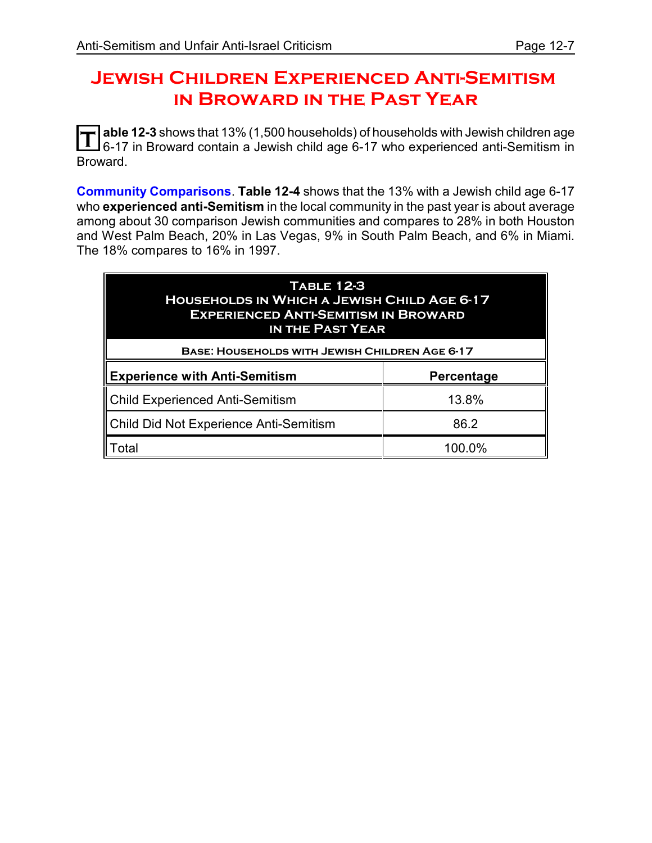#### **Jewish Children Experienced Anti-Semitism in Broward in the Past Year**

**T** able 12-3 shows that 13% (1,500 households) of households with Jewish children age<br> **T** 6.17 in Broward contain a Jowish child ago 6.17 who experienced anti-Somitism in 6-17 in Broward contain a Jewish child age 6-17 who experienced anti-Semitism in Broward.

**Community Comparisons**. **Table 12-4** shows that the 13% with a Jewish child age 6-17 who **experienced anti-Semitism** in the local community in the past year is about average among about 30 comparison Jewish communities and compares to 28% in both Houston and West Palm Beach, 20% in Las Vegas, 9% in South Palm Beach, and 6% in Miami. The 18% compares to 16% in 1997.

| <b>TABLE 12-3</b><br><b>HOUSEHOLDS IN WHICH A JEWISH CHILD AGE 6-17</b><br><b>EXPERIENCED ANTI-SEMITISM IN BROWARD</b><br><b>IN THE PAST YEAR</b><br><b>BASE: HOUSEHOLDS WITH JEWISH CHILDREN AGE 6-17</b> |       |  |  |  |  |
|------------------------------------------------------------------------------------------------------------------------------------------------------------------------------------------------------------|-------|--|--|--|--|
| <b>Experience with Anti-Semitism</b><br>Percentage                                                                                                                                                         |       |  |  |  |  |
| Child Experienced Anti-Semitism                                                                                                                                                                            | 13.8% |  |  |  |  |
| Child Did Not Experience Anti-Semitism<br>86.2                                                                                                                                                             |       |  |  |  |  |
|                                                                                                                                                                                                            |       |  |  |  |  |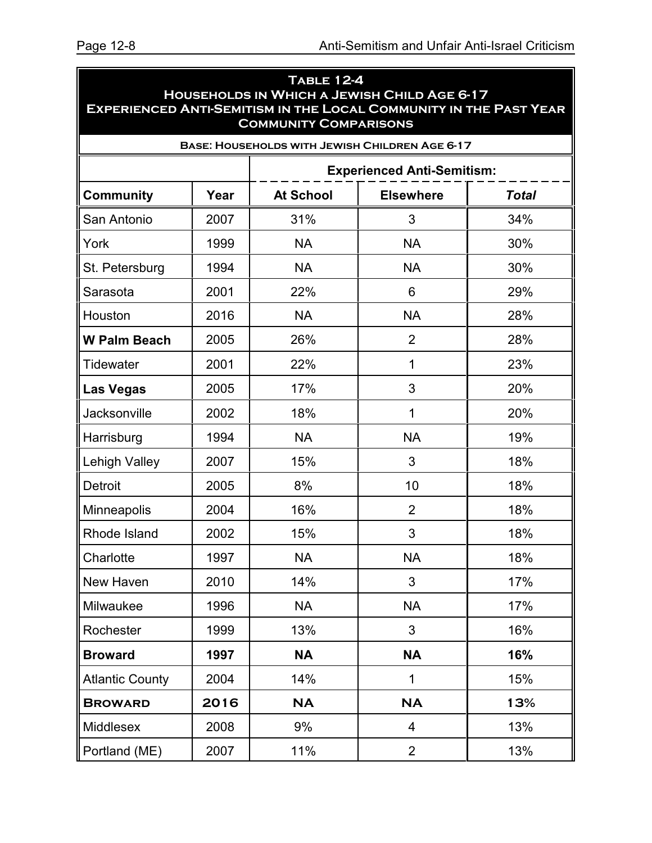| <b>TABLE 12-4</b><br>HOUSEHOLDS IN WHICH A JEWISH CHILD AGE 6-17<br><b>EXPERIENCED ANTI-SEMITISM IN THE LOCAL COMMUNITY IN THE PAST YEAR</b><br><b>COMMUNITY COMPARISONS</b> |      |                                                      |                                                       |     |  |  |  |  |
|------------------------------------------------------------------------------------------------------------------------------------------------------------------------------|------|------------------------------------------------------|-------------------------------------------------------|-----|--|--|--|--|
|                                                                                                                                                                              |      |                                                      | <b>BASE: HOUSEHOLDS WITH JEWISH CHILDREN AGE 6-17</b> |     |  |  |  |  |
|                                                                                                                                                                              |      |                                                      | <b>Experienced Anti-Semitism:</b>                     |     |  |  |  |  |
| <b>Community</b>                                                                                                                                                             | Year | <b>At School</b><br><b>Elsewhere</b><br><b>Total</b> |                                                       |     |  |  |  |  |
| San Antonio                                                                                                                                                                  | 2007 | 31%                                                  | 3                                                     | 34% |  |  |  |  |
| York                                                                                                                                                                         | 1999 | <b>NA</b>                                            | <b>NA</b>                                             | 30% |  |  |  |  |
| St. Petersburg                                                                                                                                                               | 1994 | <b>NA</b>                                            | <b>NA</b>                                             | 30% |  |  |  |  |
| Sarasota                                                                                                                                                                     | 2001 | 22%                                                  | 6                                                     | 29% |  |  |  |  |
| Houston                                                                                                                                                                      | 2016 | <b>NA</b>                                            | <b>NA</b>                                             | 28% |  |  |  |  |
| <b>W Palm Beach</b>                                                                                                                                                          | 2005 | 26%                                                  | $\overline{2}$                                        | 28% |  |  |  |  |
| Tidewater                                                                                                                                                                    | 2001 | 22%                                                  | 1                                                     | 23% |  |  |  |  |
| <b>Las Vegas</b>                                                                                                                                                             | 2005 | 17%                                                  | 3                                                     | 20% |  |  |  |  |
| Jacksonville                                                                                                                                                                 | 2002 | 18%                                                  | 1                                                     | 20% |  |  |  |  |
| Harrisburg                                                                                                                                                                   | 1994 | <b>NA</b>                                            | <b>NA</b>                                             | 19% |  |  |  |  |
| <b>Lehigh Valley</b>                                                                                                                                                         | 2007 | 15%                                                  | 3                                                     | 18% |  |  |  |  |
| <b>Detroit</b>                                                                                                                                                               | 2005 | 8%                                                   | 10                                                    | 18% |  |  |  |  |
| Minneapolis                                                                                                                                                                  | 2004 | 16%                                                  | $\overline{2}$                                        | 18% |  |  |  |  |
| Rhode Island                                                                                                                                                                 | 2002 | 15%                                                  | 3                                                     | 18% |  |  |  |  |
| Charlotte                                                                                                                                                                    | 1997 | <b>NA</b>                                            | <b>NA</b>                                             | 18% |  |  |  |  |
| New Haven                                                                                                                                                                    | 2010 | 14%                                                  | 3                                                     | 17% |  |  |  |  |
| Milwaukee                                                                                                                                                                    | 1996 | <b>NA</b>                                            | <b>NA</b>                                             | 17% |  |  |  |  |
| Rochester                                                                                                                                                                    | 1999 | 13%                                                  | 3                                                     | 16% |  |  |  |  |
| <b>Broward</b>                                                                                                                                                               | 1997 | <b>NA</b>                                            | <b>NA</b>                                             | 16% |  |  |  |  |
| <b>Atlantic County</b>                                                                                                                                                       | 2004 | 14%                                                  | 1                                                     | 15% |  |  |  |  |
| <b>BROWARD</b>                                                                                                                                                               | 2016 | <b>NA</b>                                            | <b>NA</b>                                             | 13% |  |  |  |  |
| Middlesex                                                                                                                                                                    | 2008 | 9%                                                   | 4                                                     | 13% |  |  |  |  |
| Portland (ME)                                                                                                                                                                | 2007 | 11%                                                  | $\overline{2}$                                        | 13% |  |  |  |  |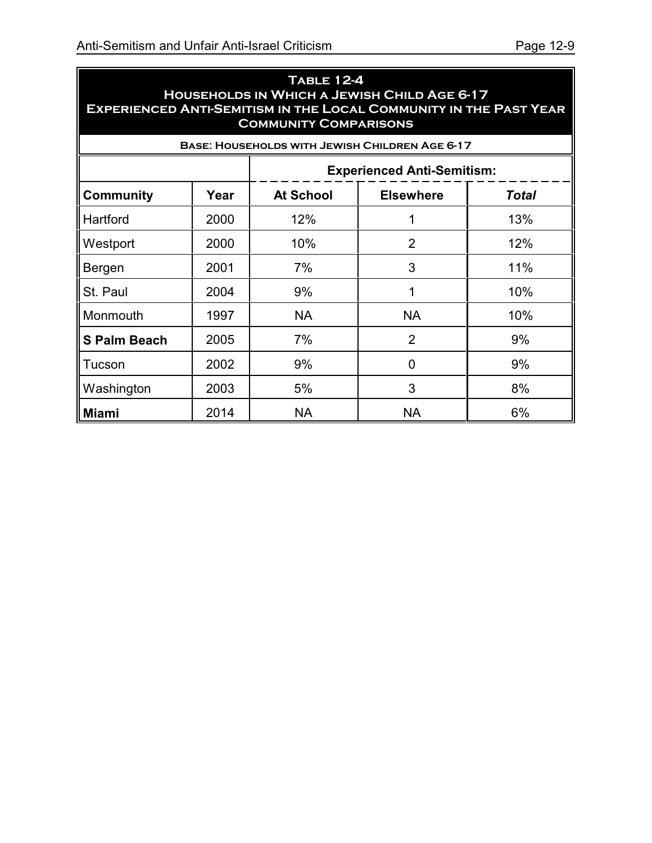| <b>TABLE 12-4</b><br>HOUSEHOLDS IN WHICH A JEWISH CHILD AGE 6-17<br><b>EXPERIENCED ANTI-SEMITISM IN THE LOCAL COMMUNITY IN THE PAST YEAR</b><br><b>COMMUNITY COMPARISONS</b> |                                                       |                  |                                  |     |  |  |  |  |
|------------------------------------------------------------------------------------------------------------------------------------------------------------------------------|-------------------------------------------------------|------------------|----------------------------------|-----|--|--|--|--|
|                                                                                                                                                                              | <b>BASE: HOUSEHOLDS WITH JEWISH CHILDREN AGE 6-17</b> |                  |                                  |     |  |  |  |  |
|                                                                                                                                                                              | <b>Experienced Anti-Semitism:</b>                     |                  |                                  |     |  |  |  |  |
| <b>Community</b>                                                                                                                                                             | Year                                                  | <b>At School</b> | <b>Elsewhere</b><br><b>Total</b> |     |  |  |  |  |
| Hartford                                                                                                                                                                     | 2000                                                  | 12%              | 1                                | 13% |  |  |  |  |
| Westport                                                                                                                                                                     | 2000                                                  | 10%              | $\overline{2}$                   | 12% |  |  |  |  |
| Bergen                                                                                                                                                                       | 2001                                                  | 7%               | 3                                | 11% |  |  |  |  |
| St. Paul                                                                                                                                                                     | 2004                                                  | 9%               | 1                                | 10% |  |  |  |  |
| Monmouth                                                                                                                                                                     | 1997                                                  | <b>NA</b>        | <b>NA</b>                        | 10% |  |  |  |  |
| <b>S Palm Beach</b>                                                                                                                                                          | 2005                                                  | 7%               | 2                                | 9%  |  |  |  |  |
| Tucson                                                                                                                                                                       | 2002                                                  | 9%               | $\mathbf 0$                      | 9%  |  |  |  |  |
| Washington                                                                                                                                                                   | 2003                                                  | 5%               | 3                                | 8%  |  |  |  |  |
| Miami                                                                                                                                                                        | 2014                                                  | <b>NA</b>        | <b>NA</b>                        | 6%  |  |  |  |  |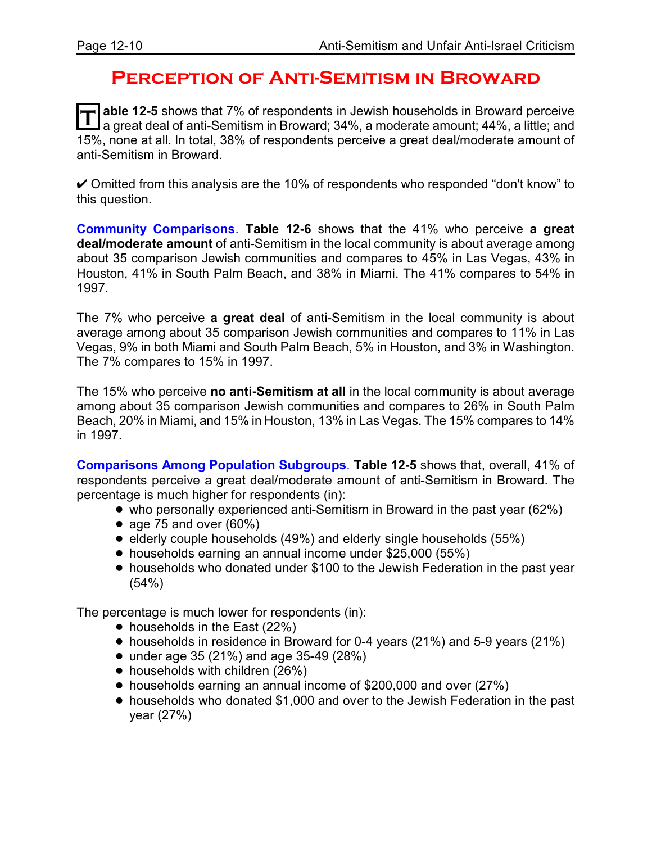#### **Perception of Anti-Semitism in Broward**

**T** able 12-5 shows that 7% of respondents in Jewish households in Broward perceive<br>I a great deal of anti-Semitism in Broward; 34%, a moderate amount; 44%, a little; and **able 12-5** shows that 7% of respondents in Jewish households in Broward perceive 15%, none at all. In total, 38% of respondents perceive a great deal/moderate amount of anti-Semitism in Broward.

 $\vee$  Omitted from this analysis are the 10% of respondents who responded "don't know" to this question.

**Community Comparisons**. **Table 12-6** shows that the 41% who perceive **a great deal/moderate amount** of anti-Semitism in the local community is about average among about 35 comparison Jewish communities and compares to 45% in Las Vegas, 43% in Houston, 41% in South Palm Beach, and 38% in Miami. The 41% compares to 54% in 1997.

The 7% who perceive **a great deal** of anti-Semitism in the local community is about average among about 35 comparison Jewish communities and compares to 11% in Las Vegas, 9% in both Miami and South Palm Beach, 5% in Houston, and 3% in Washington. The 7% compares to 15% in 1997.

The 15% who perceive **no anti-Semitism at all** in the local community is about average among about 35 comparison Jewish communities and compares to 26% in South Palm Beach, 20% in Miami, and 15% in Houston, 13% in Las Vegas. The 15% compares to 14% in 1997.

**Comparisons Among Population Subgroups**. **Table 12-5** shows that, overall, 41% of respondents perceive a great deal/moderate amount of anti-Semitism in Broward. The percentage is much higher for respondents (in):

- who personally experienced anti-Semitism in Broward in the past year (62%)
- age 75 and over  $(60\%)$
- $\bullet$  elderly couple households (49%) and elderly single households (55%)
- ! households earning an annual income under \$25,000 (55%)
- ! households who donated under \$100 to the Jewish Federation in the past year (54%)

The percentage is much lower for respondents (in):

- households in the East (22%)
- households in residence in Broward for 0-4 years (21%) and 5-9 years (21%)
- $\bullet$  under age 35 (21%) and age 35-49 (28%)
- households with children (26%)
- ! households earning an annual income of \$200,000 and over (27%)
- ! households who donated \$1,000 and over to the Jewish Federation in the past year (27%)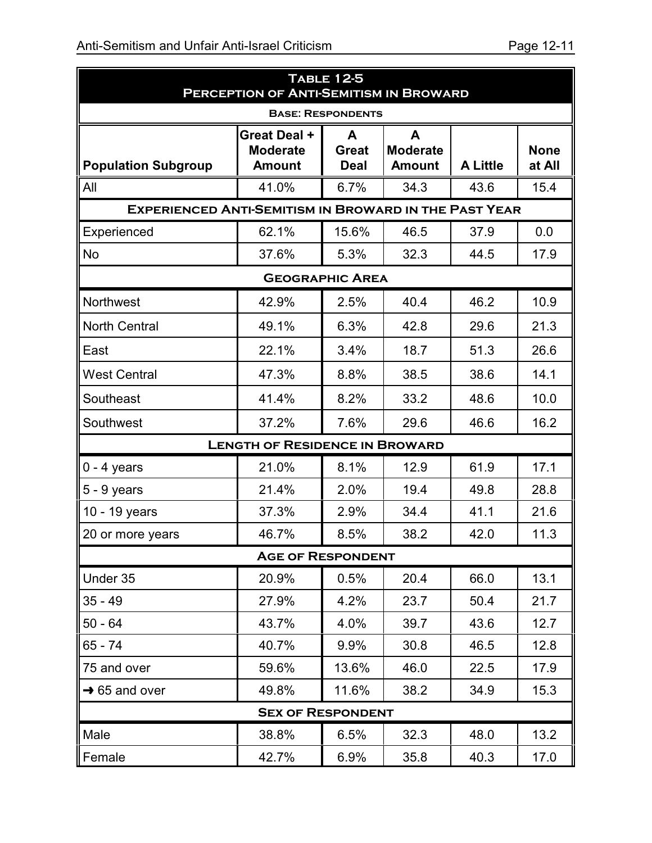| <b>TABLE 12-5</b><br><b>PERCEPTION OF ANTI-SEMITISM IN BROWARD</b> |                                                  |                                  |                                       |                 |                       |
|--------------------------------------------------------------------|--------------------------------------------------|----------------------------------|---------------------------------------|-----------------|-----------------------|
|                                                                    |                                                  | <b>BASE: RESPONDENTS</b>         |                                       |                 |                       |
| <b>Population Subgroup</b>                                         | Great Deal +<br><b>Moderate</b><br><b>Amount</b> | A<br><b>Great</b><br><b>Deal</b> | A<br><b>Moderate</b><br><b>Amount</b> | <b>A Little</b> | <b>None</b><br>at All |
| All                                                                | 41.0%                                            | 6.7%                             | 34.3                                  | 43.6            | 15.4                  |
| <b>EXPERIENCED ANTI-SEMITISM IN BROWARD IN THE PAST YEAR</b>       |                                                  |                                  |                                       |                 |                       |
| Experienced                                                        | 62.1%                                            | 15.6%                            | 46.5                                  | 37.9            | 0.0                   |
| <b>No</b>                                                          | 37.6%                                            | 5.3%                             | 32.3                                  | 44.5            | 17.9                  |
|                                                                    |                                                  | <b>GEOGRAPHIC AREA</b>           |                                       |                 |                       |
| Northwest                                                          | 42.9%                                            | 2.5%                             | 40.4                                  | 46.2            | 10.9                  |
| <b>North Central</b>                                               | 49.1%                                            | 6.3%                             | 42.8                                  | 29.6            | 21.3                  |
| East                                                               | 22.1%                                            | 3.4%                             | 18.7                                  | 51.3            | 26.6                  |
| <b>West Central</b>                                                | 47.3%                                            | 8.8%                             | 38.5                                  | 38.6            | 14.1                  |
| Southeast                                                          | 41.4%                                            | 8.2%                             | 33.2                                  | 48.6            | 10.0                  |
| Southwest                                                          | 37.2%                                            | 7.6%                             | 29.6                                  | 46.6            | 16.2                  |
|                                                                    | <b>LENGTH OF RESIDENCE IN BROWARD</b>            |                                  |                                       |                 |                       |
| $0 - 4$ years                                                      | 21.0%                                            | 8.1%                             | 12.9                                  | 61.9            | 17.1                  |
| $5 - 9$ years                                                      | 21.4%                                            | 2.0%                             | 19.4                                  | 49.8            | 28.8                  |
| 10 - 19 years                                                      | 37.3%                                            | 2.9%                             | 34.4                                  | 41.1            | 21.6                  |
| 20 or more years                                                   | 46.7%                                            | 8.5%                             | 38.2                                  | 42.0            | 11.3                  |
|                                                                    | <b>AGE OF RESPONDENT</b>                         |                                  |                                       |                 |                       |
| Under 35                                                           | 20.9%                                            | 0.5%                             | 20.4                                  | 66.0            | 13.1                  |
| $35 - 49$                                                          | 27.9%                                            | 4.2%                             | 23.7                                  | 50.4            | 21.7                  |
| $50 - 64$                                                          | 43.7%                                            | 4.0%                             | 39.7                                  | 43.6            | 12.7                  |
| 65 - 74                                                            | 40.7%                                            | 9.9%                             | 30.8                                  | 46.5            | 12.8                  |
| 75 and over                                                        | 59.6%                                            | 13.6%                            | 46.0                                  | 22.5            | 17.9                  |
| $\rightarrow$ 65 and over                                          | 49.8%                                            | 11.6%                            | 38.2                                  | 34.9            | 15.3                  |
|                                                                    | <b>SEX OF RESPONDENT</b>                         |                                  |                                       |                 |                       |
| Male                                                               | 38.8%                                            | 6.5%                             | 32.3                                  | 48.0            | 13.2                  |
| Female                                                             | 42.7%                                            | 6.9%                             | 35.8                                  | 40.3            | 17.0                  |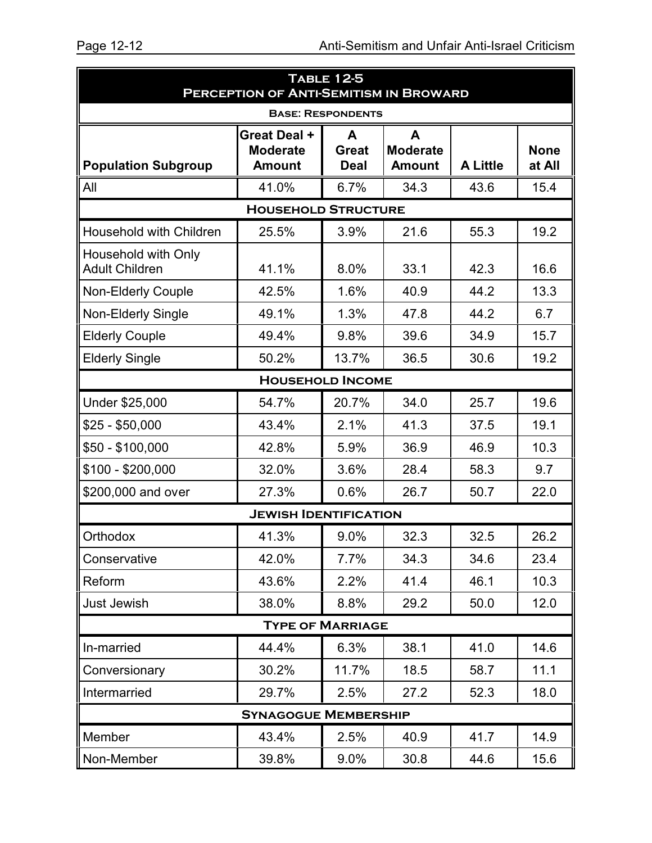| <b>TABLE 12-5</b><br>PERCEPTION OF ANTI-SEMITISM IN BROWARD |                                                  |                                  |                                       |                 |                       |
|-------------------------------------------------------------|--------------------------------------------------|----------------------------------|---------------------------------------|-----------------|-----------------------|
|                                                             |                                                  | <b>BASE: RESPONDENTS</b>         |                                       |                 |                       |
| <b>Population Subgroup</b>                                  | Great Deal +<br><b>Moderate</b><br><b>Amount</b> | A<br><b>Great</b><br><b>Deal</b> | A<br><b>Moderate</b><br><b>Amount</b> | <b>A Little</b> | <b>None</b><br>at All |
| All                                                         | 41.0%                                            | 6.7%                             | 34.3                                  | 43.6            | 15.4                  |
|                                                             | <b>HOUSEHOLD STRUCTURE</b>                       |                                  |                                       |                 |                       |
| <b>Household with Children</b>                              | 25.5%                                            | 3.9%                             | 21.6                                  | 55.3            | 19.2                  |
| Household with Only<br><b>Adult Children</b>                | 41.1%                                            | 8.0%                             | 33.1                                  | 42.3            | 16.6                  |
| <b>Non-Elderly Couple</b>                                   | 42.5%                                            | 1.6%                             | 40.9                                  | 44.2            | 13.3                  |
| Non-Elderly Single                                          | 49.1%                                            | 1.3%                             | 47.8                                  | 44.2            | 6.7                   |
| <b>Elderly Couple</b>                                       | 49.4%                                            | 9.8%                             | 39.6                                  | 34.9            | 15.7                  |
| <b>Elderly Single</b>                                       | 50.2%                                            | 13.7%                            | 36.5                                  | 30.6            | 19.2                  |
|                                                             | <b>HOUSEHOLD INCOME</b>                          |                                  |                                       |                 |                       |
| Under \$25,000                                              | 54.7%                                            | 20.7%                            | 34.0                                  | 25.7            | 19.6                  |
| $$25 - $50,000$                                             | 43.4%                                            | 2.1%                             | 41.3                                  | 37.5            | 19.1                  |
| \$50 - \$100,000                                            | 42.8%                                            | 5.9%                             | 36.9                                  | 46.9            | 10.3                  |
| \$100 - \$200,000                                           | 32.0%                                            | 3.6%                             | 28.4                                  | 58.3            | 9.7                   |
| \$200,000 and over                                          | 27.3%                                            | 0.6%                             | 26.7                                  | 50.7            | 22.0                  |
|                                                             | <b>JEWISH IDENTIFICATION</b>                     |                                  |                                       |                 |                       |
| Orthodox                                                    | 41.3%                                            | 9.0%                             | 32.3                                  | 32.5            | 26.2                  |
| Conservative                                                | 42.0%                                            | 7.7%                             | 34.3                                  | 34.6            | 23.4                  |
| Reform                                                      | 43.6%                                            | 2.2%                             | 41.4                                  | 46.1            | 10.3                  |
| Just Jewish                                                 | 38.0%                                            | 8.8%                             | 29.2                                  | 50.0            | 12.0                  |
| <b>TYPE OF MARRIAGE</b>                                     |                                                  |                                  |                                       |                 |                       |
| In-married                                                  | 44.4%                                            | 6.3%                             | 38.1                                  | 41.0            | 14.6                  |
| Conversionary                                               | 30.2%                                            | 11.7%                            | 18.5                                  | 58.7            | 11.1                  |
| Intermarried                                                | 29.7%                                            | 2.5%                             | 27.2                                  | 52.3            | 18.0                  |
|                                                             | <b>SYNAGOGUE MEMBERSHIP</b>                      |                                  |                                       |                 |                       |
| Member                                                      | 43.4%                                            | 2.5%                             | 40.9                                  | 41.7            | 14.9                  |
| Non-Member                                                  | 39.8%                                            | 9.0%                             | 30.8                                  | 44.6            | 15.6                  |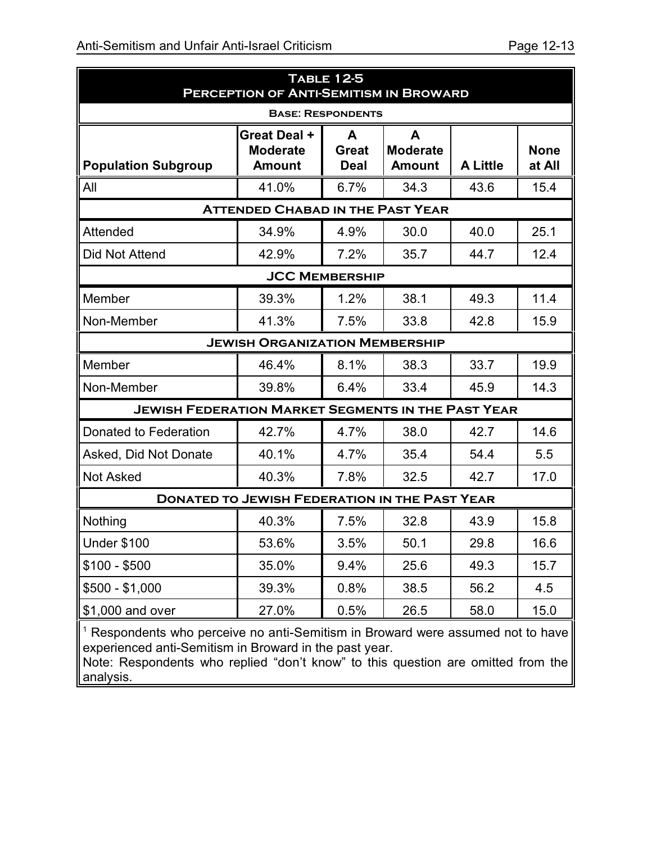| <b>TABLE 12-5</b><br><b>PERCEPTION OF ANTI-SEMITISM IN BROWARD</b>                                                                                   |                                                      |                                  |                                       |                 |                       |
|------------------------------------------------------------------------------------------------------------------------------------------------------|------------------------------------------------------|----------------------------------|---------------------------------------|-----------------|-----------------------|
|                                                                                                                                                      |                                                      | <b>BASE: RESPONDENTS</b>         |                                       |                 |                       |
| <b>Population Subgroup</b>                                                                                                                           | Great Deal +<br><b>Moderate</b><br><b>Amount</b>     | A<br><b>Great</b><br><b>Deal</b> | A<br><b>Moderate</b><br><b>Amount</b> | <b>A Little</b> | <b>None</b><br>at All |
| All                                                                                                                                                  | 41.0%                                                | 6.7%                             | 34.3                                  | 43.6            | 15.4                  |
|                                                                                                                                                      | <b>ATTENDED CHABAD IN THE PAST YEAR</b>              |                                  |                                       |                 |                       |
| Attended                                                                                                                                             | 34.9%                                                | 4.9%                             | 30.0                                  | 40.0            | 25.1                  |
| Did Not Attend                                                                                                                                       | 42.9%                                                | 7.2%                             | 35.7                                  | 44.7            | 12.4                  |
|                                                                                                                                                      |                                                      | <b>JCC MEMBERSHIP</b>            |                                       |                 |                       |
| Member                                                                                                                                               | 39.3%                                                | 1.2%                             | 38.1                                  | 49.3            | 11.4                  |
| Non-Member                                                                                                                                           | 41.3%                                                | 7.5%                             | 33.8                                  | 42.8            | 15.9                  |
|                                                                                                                                                      | <b>JEWISH ORGANIZATION MEMBERSHIP</b>                |                                  |                                       |                 |                       |
| Member                                                                                                                                               | 46.4%                                                | 8.1%                             | 38.3                                  | 33.7            | 19.9                  |
| Non-Member                                                                                                                                           | 39.8%                                                | 6.4%                             | 33.4                                  | 45.9            | 14.3                  |
| <b>JEWISH FEDERATION MARKET SEGMENTS IN THE PAST YEAR</b>                                                                                            |                                                      |                                  |                                       |                 |                       |
| Donated to Federation                                                                                                                                | 42.7%                                                | 4.7%                             | 38.0                                  | 42.7            | 14.6                  |
| Asked, Did Not Donate                                                                                                                                | 40.1%                                                | 4.7%                             | 35.4                                  | 54.4            | 5.5                   |
| <b>Not Asked</b>                                                                                                                                     | 40.3%                                                | 7.8%                             | 32.5                                  | 42.7            | 17.0                  |
|                                                                                                                                                      | <b>DONATED TO JEWISH FEDERATION IN THE PAST YEAR</b> |                                  |                                       |                 |                       |
| Nothing                                                                                                                                              | 40.3%                                                | 7.5%                             | 32.8                                  | 43.9            | 15.8                  |
| Under \$100                                                                                                                                          | 53.6%                                                | 3.5%                             | 50.1                                  | 29.8            | 16.6                  |
| $$100 - $500$                                                                                                                                        | 35.0%                                                | 9.4%                             | 25.6                                  | 49.3            | 15.7                  |
| $$500 - $1,000$                                                                                                                                      | 39.3%                                                | 0.8%                             | 38.5                                  | 56.2            | 4.5                   |
| \$1,000 and over                                                                                                                                     | 27.0%                                                | 0.5%                             | 26.5                                  | 58.0            | 15.0                  |
| <sup>1</sup> Respondents who perceive no anti-Semitism in Broward were assumed not to have<br>experienced anti-Semitism in Broward in the past year. |                                                      |                                  |                                       |                 |                       |

Note: Respondents who replied "don't know" to this question are omitted from the analysis.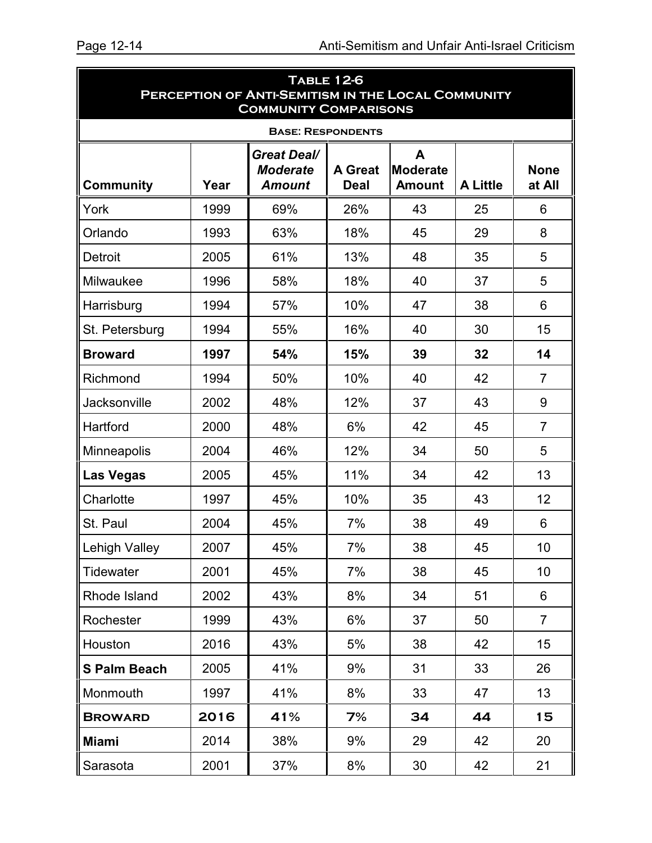| <b>TABLE 12-6</b><br>PERCEPTION OF ANTI-SEMITISM IN THE LOCAL COMMUNITY<br><b>COMMUNITY COMPARISONS</b> |      |                                                        |                               |                                       |                 |                       |
|---------------------------------------------------------------------------------------------------------|------|--------------------------------------------------------|-------------------------------|---------------------------------------|-----------------|-----------------------|
|                                                                                                         |      | <b>BASE: RESPONDENTS</b>                               |                               |                                       |                 |                       |
| <b>Community</b>                                                                                        | Year | <b>Great Deal/</b><br><b>Moderate</b><br><b>Amount</b> | <b>A Great</b><br><b>Deal</b> | A<br><b>Moderate</b><br><b>Amount</b> | <b>A Little</b> | <b>None</b><br>at All |
| York                                                                                                    | 1999 | 69%                                                    | 26%                           | 43                                    | 25              | 6                     |
| Orlando                                                                                                 | 1993 | 63%                                                    | 18%                           | 45                                    | 29              | 8                     |
| Detroit                                                                                                 | 2005 | 61%                                                    | 13%                           | 48                                    | 35              | 5                     |
| Milwaukee                                                                                               | 1996 | 58%                                                    | 18%                           | 40                                    | 37              | 5                     |
| Harrisburg                                                                                              | 1994 | 57%                                                    | 10%                           | 47                                    | 38              | 6                     |
| St. Petersburg                                                                                          | 1994 | 55%                                                    | 16%                           | 40                                    | 30              | 15                    |
| <b>Broward</b>                                                                                          | 1997 | 54%                                                    | 15%                           | 39                                    | 32              | 14                    |
| Richmond                                                                                                | 1994 | 50%                                                    | 10%                           | 40                                    | 42              | $\overline{7}$        |
| Jacksonville                                                                                            | 2002 | 48%                                                    | 12%                           | 37                                    | 43              | 9                     |
| Hartford                                                                                                | 2000 | 48%                                                    | 6%                            | 42                                    | 45              | $\overline{7}$        |
| Minneapolis                                                                                             | 2004 | 46%                                                    | 12%                           | 34                                    | 50              | 5                     |
| <b>Las Vegas</b>                                                                                        | 2005 | 45%                                                    | 11%                           | 34                                    | 42              | 13                    |
| Charlotte                                                                                               | 1997 | 45%                                                    | 10%                           | 35                                    | 43              | 12                    |
| St. Paul                                                                                                | 2004 | 45%                                                    | 7%                            | 38                                    | 49              | 6                     |
| <b>Lehigh Valley</b>                                                                                    | 2007 | 45%                                                    | 7%                            | 38                                    | 45              | 10                    |
| Tidewater                                                                                               | 2001 | 45%                                                    | 7%                            | 38                                    | 45              | 10                    |
| Rhode Island                                                                                            | 2002 | 43%                                                    | 8%                            | 34                                    | 51              | 6                     |
| Rochester                                                                                               | 1999 | 43%                                                    | 6%                            | 37                                    | 50              | $\overline{7}$        |
| Houston                                                                                                 | 2016 | 43%                                                    | 5%                            | 38                                    | 42              | 15                    |
| <b>S Palm Beach</b>                                                                                     | 2005 | 41%                                                    | 9%                            | 31                                    | 33              | 26                    |
| Monmouth                                                                                                | 1997 | 41%                                                    | 8%                            | 33                                    | 47              | 13                    |
| <b>BROWARD</b>                                                                                          | 2016 | 41%                                                    | 7%                            | 34                                    | 44              | 15                    |
| <b>Miami</b>                                                                                            | 2014 | 38%                                                    | 9%                            | 29                                    | 42              | 20                    |
| Sarasota                                                                                                | 2001 | 37%                                                    | 8%                            | 30                                    | 42              | 21                    |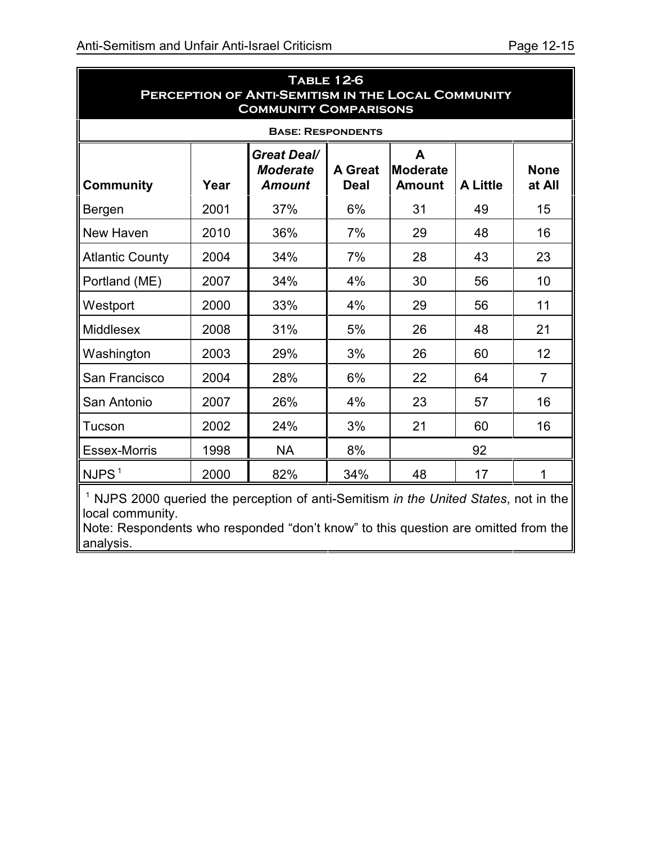| <b>TABLE 12-6</b><br>PERCEPTION OF ANTI-SEMITISM IN THE LOCAL COMMUNITY<br><b>COMMUNITY COMPARISONS</b> |      |                                                        |                               |                                       |                 |                       |  |  |  |  |
|---------------------------------------------------------------------------------------------------------|------|--------------------------------------------------------|-------------------------------|---------------------------------------|-----------------|-----------------------|--|--|--|--|
| <b>BASE: RESPONDENTS</b>                                                                                |      |                                                        |                               |                                       |                 |                       |  |  |  |  |
| <b>Community</b>                                                                                        | Year | <b>Great Deal/</b><br><b>Moderate</b><br><b>Amount</b> | <b>A</b> Great<br><b>Deal</b> | A<br><b>Moderate</b><br><b>Amount</b> | <b>A Little</b> | <b>None</b><br>at All |  |  |  |  |
| Bergen                                                                                                  | 2001 | 37%                                                    | 6%                            | 31                                    | 49              | 15                    |  |  |  |  |
| New Haven                                                                                               | 2010 | 36%                                                    | 7%                            | 29                                    | 48              | 16                    |  |  |  |  |
| <b>Atlantic County</b>                                                                                  | 2004 | 34%                                                    | 7%                            | 28                                    | 43              | 23                    |  |  |  |  |
| Portland (ME)                                                                                           | 2007 | 34%                                                    | 4%                            | 30                                    | 56              | 10                    |  |  |  |  |
| Westport                                                                                                | 2000 | 33%                                                    | 4%                            | 29                                    | 56              | 11                    |  |  |  |  |
| <b>Middlesex</b>                                                                                        | 2008 | 31%                                                    | 5%                            | 26                                    | 48              | 21                    |  |  |  |  |
| Washington                                                                                              | 2003 | 29%                                                    | 3%                            | 26                                    | 60              | 12                    |  |  |  |  |
| San Francisco                                                                                           | 2004 | 28%                                                    | 6%                            | 22                                    | 64              | $\overline{7}$        |  |  |  |  |
| San Antonio                                                                                             | 2007 | 26%                                                    | 4%                            | 23                                    | 57              | 16                    |  |  |  |  |
| Tucson                                                                                                  | 2002 | 24%                                                    | 3%                            | 21                                    | 60              | 16                    |  |  |  |  |
| Essex-Morris                                                                                            | 1998 | <b>NA</b>                                              | 8%                            |                                       | 92              |                       |  |  |  |  |
| NJPS <sup>1</sup>                                                                                       | 2000 | 82%                                                    | 34%                           | 48                                    | 17              | 1                     |  |  |  |  |

<sup>1</sup> NJPS 2000 queried the perception of anti-Semitism *in the United States*, not in the local community.

Note: Respondents who responded "don't know" to this question are omitted from the analysis.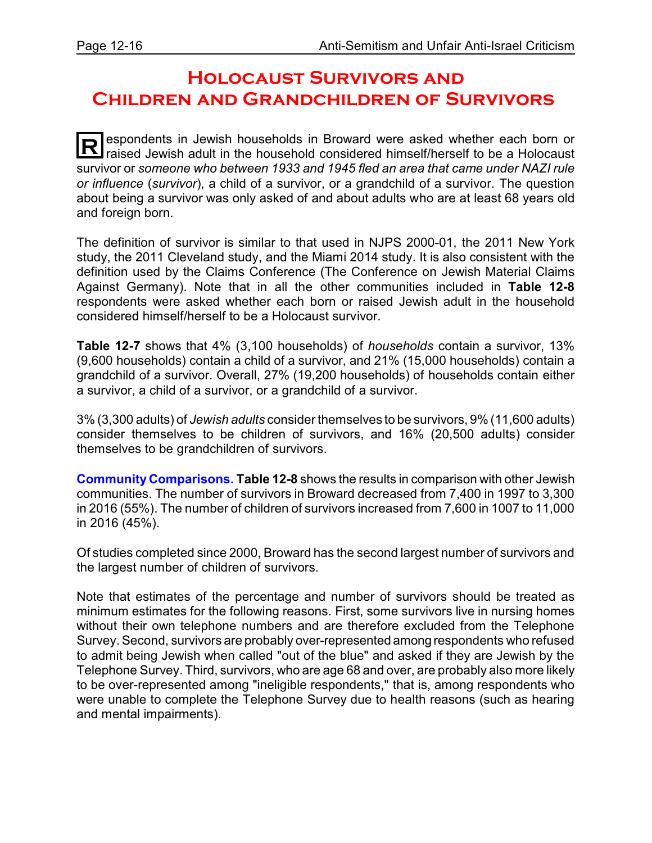#### **Holocaust Survivors and Children and Grandchildren of Survivors**

**R** espondents in Jewish households in Broward were asked whether each born or raised Jewish adult in the household considered himself/herself to be a Holocaust survivor or *someone who between 1933 and 1945 fled an area that came under NAZI rule or influence* (*survivor*), a child of a survivor, or a grandchild of a survivor. The question about being a survivor was only asked of and about adults who are at least 68 years old and foreign born.

The definition of survivor is similar to that used in NJPS 2000-01, the 2011 New York study, the 2011 Cleveland study, and the Miami 2014 study. It is also consistent with the definition used by the Claims Conference (The Conference on Jewish Material Claims Against Germany). Note that in all the other communities included in **Table 12-8** respondents were asked whether each born or raised Jewish adult in the household considered himself/herself to be a Holocaust survivor.

**Table 12-7** shows that 4% (3,100 households) of *households* contain a survivor, 13% (9,600 households) contain a child of a survivor, and 21% (15,000 households) contain a grandchild of a survivor. Overall, 27% (19,200 households) of households contain either a survivor, a child of a survivor, or a grandchild of a survivor.

3% (3,300 adults) of *Jewish adults* consider themselves to be survivors, 9% (11,600 adults) consider themselves to be children of survivors, and 16% (20,500 adults) consider themselves to be grandchildren of survivors.

**Community Comparisons. Table 12-8** shows the results in comparison with other Jewish communities. The number of survivors in Broward decreased from 7,400 in 1997 to 3,300 in 2016 (55%). The number of children of survivors increased from 7,600 in 1007 to 11,000 in 2016 (45%).

Of studies completed since 2000, Broward has the second largest number of survivors and the largest number of children of survivors.

Note that estimates of the percentage and number of survivors should be treated as minimum estimates for the following reasons. First, some survivors live in nursing homes without their own telephone numbers and are therefore excluded from the Telephone Survey. Second, survivors are probably over-represented amongrespondents who refused to admit being Jewish when called "out of the blue" and asked if they are Jewish by the Telephone Survey. Third, survivors, who are age 68 and over, are probably also more likely to be over-represented among "ineligible respondents," that is, among respondents who were unable to complete the Telephone Survey due to health reasons (such as hearing and mental impairments).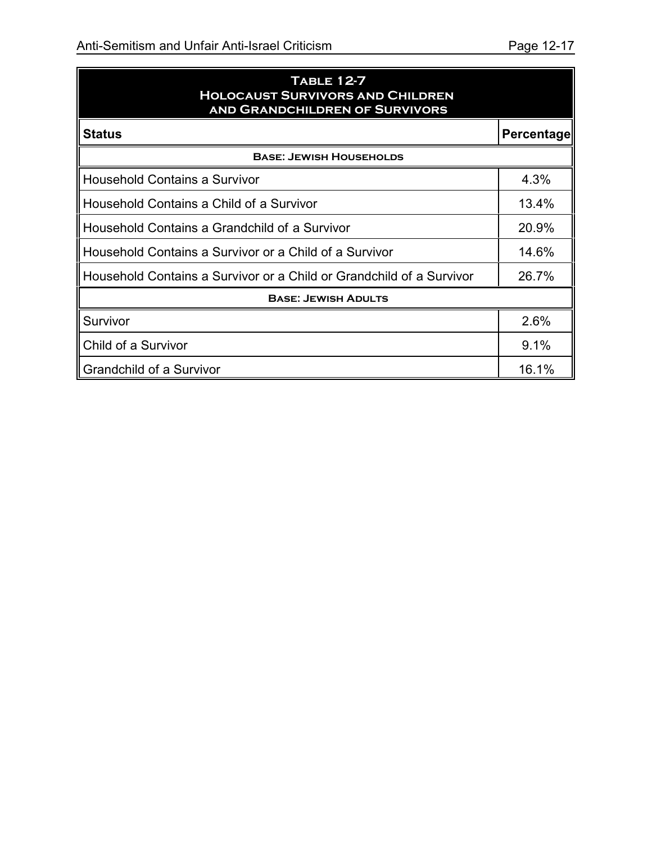| <b>TABLE 12-7</b>                       |
|-----------------------------------------|
| <b>HOLOCAUST SURVIVORS AND CHILDREN</b> |
| AND GRANDCHILDREN OF SURVIVORS          |

| <b>Status</b><br><b>Percentage</b>                                   |       |  |  |  |  |
|----------------------------------------------------------------------|-------|--|--|--|--|
| <b>BASE: JEWISH HOUSEHOLDS</b>                                       |       |  |  |  |  |
| <b>Household Contains a Survivor</b>                                 |       |  |  |  |  |
| Household Contains a Child of a Survivor                             | 13.4% |  |  |  |  |
| Household Contains a Grandchild of a Survivor                        | 20.9% |  |  |  |  |
| Household Contains a Survivor or a Child of a Survivor               |       |  |  |  |  |
| Household Contains a Survivor or a Child or Grandchild of a Survivor | 26.7% |  |  |  |  |
| <b>BASE: JEWISH ADULTS</b>                                           |       |  |  |  |  |
| Survivor                                                             | 2.6%  |  |  |  |  |
| Child of a Survivor                                                  |       |  |  |  |  |
| <b>Grandchild of a Survivor</b>                                      |       |  |  |  |  |